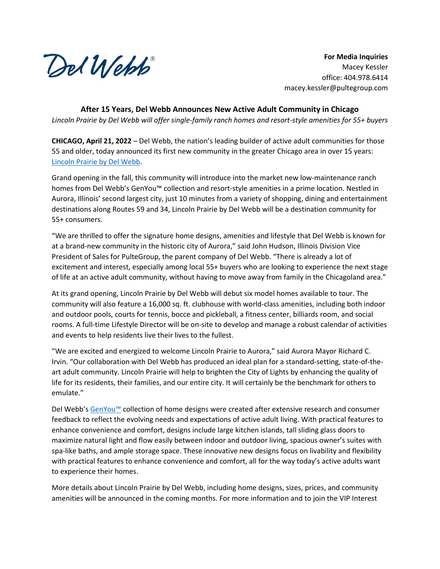Del Webb

**For Media Inquiries** Macey Kessler office: 404.978.6414 macey.kessler@pultegroup.com

**After 15 Years, Del Webb Announces New Active Adult Community in Chicago** *Lincoln Prairie by Del Webb will offer single-family ranch homes and resort-style amenities for 55+ buyers*

**CHICAGO, April 21, 2022** – Del Webb, the nation's leading builder of active adult communities for those 55 and older, today announced its first new community in the greater Chicago area in over 15 years: [Lincoln Prairie by Del Webb.](https://www.delwebb.com/homes/illinois/chicago/aurora/lincoln-prairie-by-del-webb-210962)

Grand opening in the fall, this community will introduce into the market new low-maintenance ranch homes from Del Webb's GenYou™ collection and resort-style amenities in a prime location. Nestled in Aurora, Illinois' second largest city, just 10 minutes from a variety of shopping, dining and entertainment destinations along Routes 59 and 34, Lincoln Prairie by Del Webb will be a destination community for 55+ consumers.

"We are thrilled to offer the signature home designs, amenities and lifestyle that Del Webb is known for at a brand-new community in the historic city of Aurora," said John Hudson, Illinois Division Vice President of Sales for PulteGroup, the parent company of Del Webb. "There is already a lot of excitement and interest, especially among local 55+ buyers who are looking to experience the next stage of life at an active adult community, without having to move away from family in the Chicagoland area."

At its grand opening, Lincoln Prairie by Del Webb will debut six model homes available to tour. The community will also feature a 16,000 sq. ft. clubhouse with world-class amenities, including both indoor and outdoor pools, courts for tennis, bocce and pickleball, a fitness center, billiards room, and social rooms. A full-time Lifestyle Director will be on-site to develop and manage a robust calendar of activities and events to help residents live their lives to the fullest.

"We are excited and energized to welcome Lincoln Prairie to Aurora," said Aurora Mayor Richard C. Irvin. "Our collaboration with Del Webb has produced an ideal plan for a standard-setting, state-of-theart adult community. Lincoln Prairie will help to brighten the City of Lights by enhancing the quality of life for its residents, their families, and our entire city. It will certainly be the benchmark for others to emulate."

Del Webb's [GenYou™](https://www.delwebb.com/best-retirement-living/customized-homes/gen-you-floor-plans) collection of home designs were created after extensive research and consumer feedback to reflect the evolving needs and expectations of active adult living. With practical features to enhance convenience and comfort, designs include large kitchen islands, tall sliding glass doors to maximize natural light and flow easily between indoor and outdoor living, spacious owner's suites with spa-like baths, and ample storage space. These innovative new designs focus on livability and flexibility with practical features to enhance convenience and comfort, all for the way today's active adults want to experience their homes.

More details about Lincoln Prairie by Del Webb, including home designs, sizes, prices, and community amenities will be announced in the coming months. For more information and to join the VIP Interest